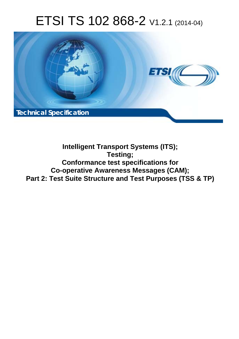# ETSI TS 102 868-2 V1.2.1 (2014-04)



### **Intelligent Transport Systems (ITS); Testing; Conformance test specifications for Co-operative Awareness Messages (CAM); Part 2: Test Suite Structure and Test Purposes (TSS & TP)**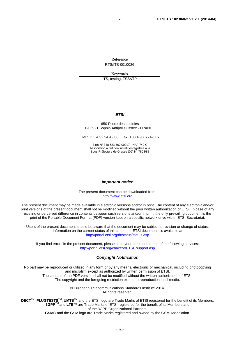Reference RTS/ITS-0010026

Keywords

ITS, testing, TSS&TP

#### *ETSI*

#### 650 Route des Lucioles F-06921 Sophia Antipolis Cedex - FRANCE

Tel.: +33 4 92 94 42 00 Fax: +33 4 93 65 47 16

Siret N° 348 623 562 00017 - NAF 742 C Association à but non lucratif enregistrée à la Sous-Préfecture de Grasse (06) N° 7803/88

#### *Important notice*

The present document can be downloaded from: [http://www.etsi.org](http://www.etsi.org/)

The present document may be made available in electronic versions and/or in print. The content of any electronic and/or print versions of the present document shall not be modified without the prior written authorization of ETSI. In case of any existing or perceived difference in contents between such versions and/or in print, the only prevailing document is the print of the Portable Document Format (PDF) version kept on a specific network drive within ETSI Secretariat.

Users of the present document should be aware that the document may be subject to revision or change of status. Information on the current status of this and other ETSI documents is available at <http://portal.etsi.org/tb/status/status.asp>

If you find errors in the present document, please send your comment to one of the following services: [http://portal.etsi.org/chaircor/ETSI\\_support.asp](http://portal.etsi.org/chaircor/ETSI_support.asp)

#### *Copyright Notification*

No part may be reproduced or utilized in any form or by any means, electronic or mechanical, including photocopying and microfilm except as authorized by written permission of ETSI.

The content of the PDF version shall not be modified without the written authorization of ETSI. The copyright and the foregoing restriction extend to reproduction in all media.

> © European Telecommunications Standards Institute 2014. All rights reserved.

**DECT**TM, **PLUGTESTS**TM, **UMTS**TM and the ETSI logo are Trade Marks of ETSI registered for the benefit of its Members. **3GPP**TM and **LTE**™ are Trade Marks of ETSI registered for the benefit of its Members and of the 3GPP Organizational Partners.

**GSM**® and the GSM logo are Trade Marks registered and owned by the GSM Association.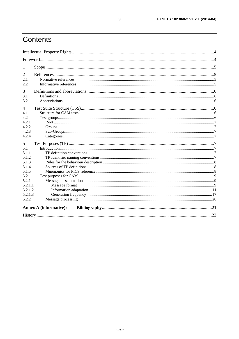# Contents

| 1              |                               |  |  |  |  |
|----------------|-------------------------------|--|--|--|--|
| 2              |                               |  |  |  |  |
| 2.1            |                               |  |  |  |  |
| 2.2            |                               |  |  |  |  |
| 3              |                               |  |  |  |  |
| 3.1            |                               |  |  |  |  |
| 3.2            |                               |  |  |  |  |
| $\overline{4}$ |                               |  |  |  |  |
| 4.1            |                               |  |  |  |  |
| 4.2            |                               |  |  |  |  |
| 4.2.1          |                               |  |  |  |  |
| 4.2.2          |                               |  |  |  |  |
| 4.2.3          |                               |  |  |  |  |
| 4.2.4          |                               |  |  |  |  |
| 5              |                               |  |  |  |  |
| 5.1            |                               |  |  |  |  |
| 5.1.1          |                               |  |  |  |  |
| 5.1.2          |                               |  |  |  |  |
| 5.1.3          |                               |  |  |  |  |
| 5.1.4          |                               |  |  |  |  |
| 5.1.5          |                               |  |  |  |  |
| 5.2            |                               |  |  |  |  |
| 5.2.1          |                               |  |  |  |  |
| 5.2.1.1        |                               |  |  |  |  |
| 5.2.1.2        |                               |  |  |  |  |
| 5.2.1.3        |                               |  |  |  |  |
| 5.2.2          |                               |  |  |  |  |
|                | <b>Annex A (informative):</b> |  |  |  |  |
|                |                               |  |  |  |  |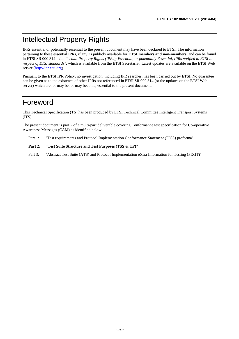### Intellectual Property Rights

IPRs essential or potentially essential to the present document may have been declared to ETSI. The information pertaining to these essential IPRs, if any, is publicly available for **ETSI members and non-members**, and can be found in ETSI SR 000 314: *"Intellectual Property Rights (IPRs); Essential, or potentially Essential, IPRs notified to ETSI in respect of ETSI standards"*, which is available from the ETSI Secretariat. Latest updates are available on the ETSI Web server ([http://ipr.etsi.org\)](http://webapp.etsi.org/IPR/home.asp).

Pursuant to the ETSI IPR Policy, no investigation, including IPR searches, has been carried out by ETSI. No guarantee can be given as to the existence of other IPRs not referenced in ETSI SR 000 314 (or the updates on the ETSI Web server) which are, or may be, or may become, essential to the present document.

### Foreword

This Technical Specification (TS) has been produced by ETSI Technical Committee Intelligent Transport Systems (ITS).

The present document is part 2 of a multi-part deliverable covering Conformance test specification for Co-operative Awareness Messages (CAM) as identified below:

Part 1: "Test requirements and Protocol Implementation Conformance Statement (PICS) proforma";

#### Part 2: "Test Suite Structure and Test Purposes (TSS & TP)";

Part 3: "Abstract Test Suite (ATS) and Protocol Implementation eXtra Information for Testing (PIXIT)".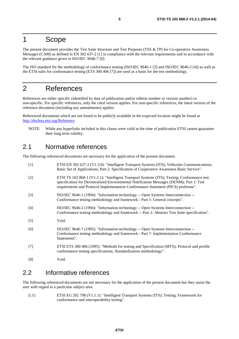#### 1 Scope

The present document provides the Test Suite Structure and Test Purposes (TSS & TP) for Co-operative Awareness Messages (CAM) as defined in EN 302 637-2 [1] in compliance with the relevant requirements and in accordance with the relevant guidance given in ISO/IEC 9646-7 [6].

The ISO standard for the methodology of conformance testing (ISO/IEC 9646-1 [3] and ISO/IEC 9646-2 [4]) as well as the ETSI rules for conformance testing (ETS 300 406 [7]) are used as a basis for the test methodology.

### 2 References

References are either specific (identified by date of publication and/or edition number or version number) or non-specific. For specific references, only the cited version applies. For non-specific references, the latest version of the reference document (including any amendments) applies.

Referenced documents which are not found to be publicly available in the expected location might be found at [http://docbox.etsi.org/Reference.](http://docbox.etsi.org/Reference)

NOTE: While any hyperlinks included in this clause were valid at the time of publication ETSI cannot guarantee their long term validity.

#### 2.1 Normative references

The following referenced documents are necessary for the application of the present document.

| $[1]$ | ETSI EN 302 637-2 (V1.3.0): "Intelligent Transport Systems (ITS); Vehicular Communications;<br>Basic Set of Applications; Part 2: Specification of Cooperative Awareness Basic Service".                                                                                    |
|-------|-----------------------------------------------------------------------------------------------------------------------------------------------------------------------------------------------------------------------------------------------------------------------------|
| $[2]$ | ETSI TS 102 868-1 (V1.2.1): "Intelligent Transport Systems (ITS); Testing; Conformance test<br>specification for Decentralized Environmental Notification Messages (DENM); Part 1: Test<br>requirements and Protocol Implementation Conformance Statement (PICS) proforma". |
| $[3]$ | ISO/IEC 9646-1 (1994): "Information technology -- Open Systems Interconnection --<br>Conformance testing methodology and framework - Part 1: General concepts".                                                                                                             |
| [4]   | ISO/IEC 9646-2 (1994): "Information technology -- Open Systems Interconnection --<br>Conformance testing methodology and framework -- Part 2: Abstract Test Suite specification".                                                                                           |
| $[5]$ | Void.                                                                                                                                                                                                                                                                       |
| [6]   | ISO/IEC 9646-7 (1995): "Information technology -- Open Systems Interconnection --<br>Conformance testing methodology and framework - Part 7: Implementation Conformance<br>Statements".                                                                                     |
| $[7]$ | ETSI ETS 300 406 (1995): "Methods for testing and Specification (MTS); Protocol and profile<br>conformance testing specifications; Standardization methodology".                                                                                                            |
| [8]   | Void.                                                                                                                                                                                                                                                                       |

#### 2.2 Informative references

The following referenced documents are not necessary for the application of the present document but they assist the user with regard to a particular subject area.

[i.1] ETSI EG 202 798 (V1.1.1): "Intelligent Transport Systems (ITS); Testing; Framework for conformance and interoperability testing".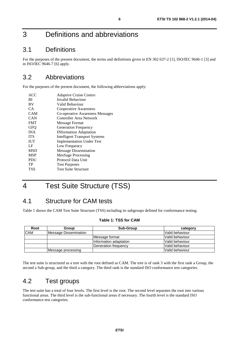## 3 Definitions and abbreviations

### 3.1 Definitions

For the purposes of the present document, the terms and definitions given in EN 302 637-2 [1], ISO/IEC 9646-1 [3] and in ISO/IEC 9646-7 [6] apply.

### 3.2 Abbreviations

For the purposes of the present document, the following abbreviations apply:

| ACC        | <b>Adaptive Cruise Contro</b>        |
|------------|--------------------------------------|
| ВI         | Invalid Behaviour                    |
| BV         | Valid Behaviour                      |
| CA.        | Cooperative Awareness                |
| CAM        | Co-operative Awareness Messages      |
| <b>CAN</b> | Controller Area Network              |
| <b>FMT</b> | Message Format                       |
| <b>GFO</b> | <b>Generation Frequency</b>          |
| <b>INA</b> | <b>INformation Adaptation</b>        |
| <b>ITS</b> | <b>Intelligent Transport Systems</b> |
| <b>IUT</b> | <b>Implementation Under Test</b>     |
| LF         | Low Frequency                        |
| <b>MSD</b> | <b>Message Dissemination</b>         |
| <b>MSP</b> | MesSage Processing                   |
| <b>PDU</b> | Protocol Data Unit                   |
| TP         | <b>Test Purposes</b>                 |
| TSS        | <b>Test Suite Structure</b>          |

# 4 Test Suite Structure (TSS)

### 4.1 Structure for CAM tests

Table 1 shows the CAM Test Suite Structure (TSS) including its subgroups defined for conformance testing.

#### **Table 1: TSS for CAM**

| Root       | Group                 | <b>Sub-Group</b>             | category         |
|------------|-----------------------|------------------------------|------------------|
| <b>CAM</b> | Message Dissemination |                              | Valid behaviour  |
|            |                       | Message format               | lValid behaviour |
|            |                       | Information adaptation       | Valid behaviour  |
|            |                       | <b>IGeneration frequencv</b> | lValid behaviour |
|            | Message processing    |                              | Valid behaviour  |

The test suite is structured as a tree with the root defined as CAM. The tree is of rank 3 with the first rank a Group, the second a Sub-group, and the third a category. The third rank is the standard ISO conformance test categories.

### 4.2 Test groups

The test suite has a total of four levels. The first level is the root. The second level separates the root into various functional areas. The third level is the sub-functional areas if necessary. The fourth level is the standard ISO conformance test categories.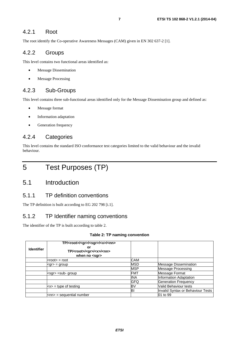The root identify the Co-operative Awareness Messages (CAM) given in EN 302 637-2 [1].

#### 4.2.2 Groups

This level contains two functional areas identified as:

- **Message Dissemination**
- **Message Processing**

#### 4.2.3 Sub-Groups

This level contains three sub-functional areas identified only for the Message Dissemination group and defined as:

- Message format
- Information adaptation
- Generation frequency

#### 4.2.4 Categories

This level contains the standard ISO conformance test categories limited to the valid behaviour and the invalid behaviour.

5 Test Purposes (TP)

#### 5.1 Introduction

#### 5.1.1 TP definition conventions

The TP definition is built according to EG 202 798 [i.1].

#### 5.1.2 TP Identifier naming conventions

The identifier of the TP is built according to table 2.

#### **Table 2: TP naming convention**

| <b>Identifier</b> | TP/ <root>/<gr>/<sgr>/<x>/<nn><br/>or<br/>TP/<root>/<gr>/<x>/<nn><br/>when no <sqr></sqr></nn></x></gr></root></nn></x></sgr></gr></root> |            |                                   |
|-------------------|-------------------------------------------------------------------------------------------------------------------------------------------|------------|-----------------------------------|
|                   | $<$ root $>$ = root                                                                                                                       | CAM        |                                   |
|                   | $<$ gr $>$ = group                                                                                                                        | MSD        | <b>Message Dissemination</b>      |
|                   |                                                                                                                                           | <b>MSP</b> | <b>Message Processing</b>         |
|                   | ksgr> =sub- group                                                                                                                         | <b>FMT</b> | Message Format                    |
|                   |                                                                                                                                           | <b>INA</b> | Information Adaptation            |
|                   |                                                                                                                                           | GFQ        | <b>Generation Frequency</b>       |
|                   | $\left  \langle x \rangle \right  =$ type of testing                                                                                      | BV         | Valid Behaviour tests             |
|                   |                                                                                                                                           | ΒI         | Invalid Syntax or Behaviour Tests |
|                   | $\mathsf{knn}$ = sequential number                                                                                                        |            | 01 to 99                          |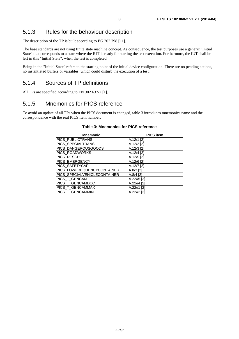#### 5.1.3 Rules for the behaviour description

The description of the TP is built according to EG 202 798 [i.1].

The base standards are not using finite state machine concept. As consequence, the test purposes use a generic "Initial State" that corresponds to a state where the IUT is ready for starting the test execution. Furthermore, the IUT shall be left in this "Initial State", when the test is completed.

Being in the "Initial State" refers to the starting point of the initial device configuration. There are no pending actions, no instantiated buffers or variables, which could disturb the execution of a test.

#### 5.1.4 Sources of TP definitions

All TPs are specified according to EN 302 637-2 [1].

#### 5.1.5 Mnemonics for PICS reference

To avoid an update of all TPs when the PICS document is changed, table 3 introduces mnemonics name and the correspondence with the real PICS item number.

| <b>Mnemonic</b>              | <b>PICS item</b> |
|------------------------------|------------------|
| <b>PICS PUBLICTRANS</b>      | A.12/1 [2]       |
| PICS_SPECIALTRANS            | A.12/2 [2]       |
| PICS_DANGEROUSGOODS          | A.12/3 [2]       |
| PICS_ROADWORKS               | A.12/4 [2]       |
| PICS_RESCUE                  | A.12/5 [2]       |
| PICS_EMERGENCY               | A.12/6 [2]       |
| PICS_SAFETYCAR               | A.12/7 [2]       |
| PICS_LOWFREQUENCYCONTAINER   | $A.8/3$ [2]      |
| PICS_SPECIALVEHICLECONTAINER | $A.8/4$ [2]      |
| PICS T GENCAM                | $A.22/5$ [2]     |
| PICS_T_GENCAMDCC             | A.22//4 [2]      |
| PICS_T_GENCAMMAX             | $A.22$ //1 [2]   |
| PICS_T_GENCAMMIN             | A.22//2 [2]      |

#### **Table 3: Mnemonics for PICS reference**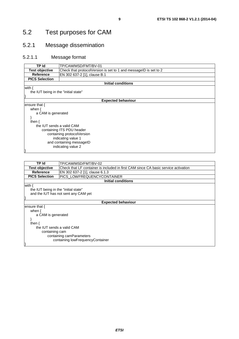#### 5.2.1 Message dissemination

#### 5.2.1.1 Message format

| TP Id                                | TP/CAM/MSD/FMT/BV-01                                                                      |  |  |  |  |
|--------------------------------------|-------------------------------------------------------------------------------------------|--|--|--|--|
|                                      | <b>Test objective</b><br>Check that protocolVersion is set to 1 and messageID is set to 2 |  |  |  |  |
| <b>Reference</b>                     | EN 302 637-2 [1], clause B.1                                                              |  |  |  |  |
| <b>PICS Selection</b>                |                                                                                           |  |  |  |  |
|                                      | <b>Initial conditions</b>                                                                 |  |  |  |  |
| with {                               |                                                                                           |  |  |  |  |
| the IUT being in the "initial state" |                                                                                           |  |  |  |  |
|                                      |                                                                                           |  |  |  |  |
|                                      | <b>Expected behaviour</b>                                                                 |  |  |  |  |
| ensure that $\{$                     |                                                                                           |  |  |  |  |
| when $\{$                            |                                                                                           |  |  |  |  |
| a CAM is generated                   |                                                                                           |  |  |  |  |
|                                      |                                                                                           |  |  |  |  |
| then $\{$                            |                                                                                           |  |  |  |  |
| the IUT sends a valid CAM            |                                                                                           |  |  |  |  |
|                                      | containing ITS PDU header                                                                 |  |  |  |  |
|                                      | containing protocolVersion                                                                |  |  |  |  |
|                                      | indicating value 1                                                                        |  |  |  |  |
| and containing messageID             |                                                                                           |  |  |  |  |
| indicating value 2                   |                                                                                           |  |  |  |  |
|                                      |                                                                                           |  |  |  |  |

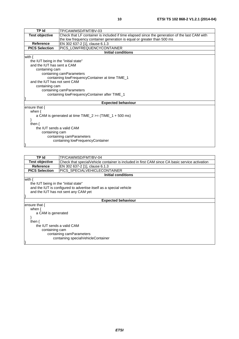| TP Id                                                                  | TP/CAM/MSD/FMT/BV-03                                                                          |  |  |  |  |
|------------------------------------------------------------------------|-----------------------------------------------------------------------------------------------|--|--|--|--|
| <b>Test objective</b>                                                  | Check that LF container is included if time elapsed since the generation of the last CAM with |  |  |  |  |
| the low frequency container generation is equal or greater than 500 ms |                                                                                               |  |  |  |  |
| <b>Reference</b>                                                       | EN 302 637-2 [1], clause 6.1.3                                                                |  |  |  |  |
| <b>PICS Selection</b>                                                  | PICS_LOWFREQUENCYCONTAINER                                                                    |  |  |  |  |
|                                                                        | Initial conditions                                                                            |  |  |  |  |
| with $\{$                                                              |                                                                                               |  |  |  |  |
| the IUT being in the "initial state"                                   |                                                                                               |  |  |  |  |
| and the IUT has sent a CAM                                             |                                                                                               |  |  |  |  |
| containing cam                                                         |                                                                                               |  |  |  |  |
|                                                                        | containing camParameters                                                                      |  |  |  |  |
|                                                                        | containing lowFrequencyContainer at time TIME_1                                               |  |  |  |  |
| and the IUT has not sent CAM                                           |                                                                                               |  |  |  |  |
| containing cam                                                         |                                                                                               |  |  |  |  |
|                                                                        | containing camParameters                                                                      |  |  |  |  |
|                                                                        | containing lowFrequencyContainer after TIME_1                                                 |  |  |  |  |
|                                                                        |                                                                                               |  |  |  |  |
|                                                                        | <b>Expected behaviour</b>                                                                     |  |  |  |  |
| ensure that $\{$                                                       |                                                                                               |  |  |  |  |
| when $\{$                                                              |                                                                                               |  |  |  |  |
|                                                                        | a CAM is generated at time $TIME_2 \geq (TIME_1 + 500 \text{ ms})$                            |  |  |  |  |
|                                                                        |                                                                                               |  |  |  |  |
| then $\{$                                                              |                                                                                               |  |  |  |  |
|                                                                        | the IUT sends a valid CAM                                                                     |  |  |  |  |
|                                                                        | containing cam                                                                                |  |  |  |  |
|                                                                        | containing camParameters                                                                      |  |  |  |  |
|                                                                        | containing lowFrequencyContainer                                                              |  |  |  |  |
|                                                                        |                                                                                               |  |  |  |  |

| TP Id                                | TP/CAM/MSD/FMT/BV-04                                                                           |  |  |  |  |
|--------------------------------------|------------------------------------------------------------------------------------------------|--|--|--|--|
| <b>Test objective</b>                | Check that specialVehicle container is included in first CAM since CA basic service activation |  |  |  |  |
| <b>Reference</b>                     | EN 302 637-2 [1], clause 6.1.3                                                                 |  |  |  |  |
| <b>PICS Selection</b>                | PICS SPECIALVEHICLECONTAINER                                                                   |  |  |  |  |
|                                      | <b>Initial conditions</b>                                                                      |  |  |  |  |
| with {                               |                                                                                                |  |  |  |  |
| the IUT being in the "initial state" |                                                                                                |  |  |  |  |
|                                      | and the IUT is configured to advertise itself as a special vehicle                             |  |  |  |  |
|                                      | and the IUT has not sent any CAM yet                                                           |  |  |  |  |
|                                      |                                                                                                |  |  |  |  |
|                                      | <b>Expected behaviour</b>                                                                      |  |  |  |  |
| ensure that {                        |                                                                                                |  |  |  |  |
| when $\{$                            |                                                                                                |  |  |  |  |
|                                      | a CAM is generated                                                                             |  |  |  |  |
|                                      |                                                                                                |  |  |  |  |
| then $\{$                            |                                                                                                |  |  |  |  |
| the IUT sends a valid CAM            |                                                                                                |  |  |  |  |
|                                      | containing cam                                                                                 |  |  |  |  |
|                                      | containing camParameters                                                                       |  |  |  |  |
|                                      | containing specialVehicleContainer                                                             |  |  |  |  |
|                                      |                                                                                                |  |  |  |  |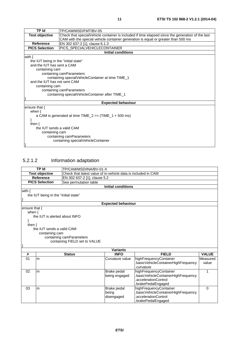| TP Id                                                                             | TP/CAM/MSD/FMT/BV-05                                                                             |  |  |  |
|-----------------------------------------------------------------------------------|--------------------------------------------------------------------------------------------------|--|--|--|
| <b>Test objective</b>                                                             | Check that specialVehicle container is included if time elapsed since the generation of the last |  |  |  |
| CAM with the special vehicle container generation is equal or greater than 500 ms |                                                                                                  |  |  |  |
| <b>Reference</b>                                                                  | EN 302 637-2 [1], clause 6.1.3                                                                   |  |  |  |
| <b>PICS Selection</b>                                                             | PICS_SPECIALVEHICLECONTAINER                                                                     |  |  |  |
|                                                                                   | <b>Initial conditions</b>                                                                        |  |  |  |
| with $\{$                                                                         |                                                                                                  |  |  |  |
| the IUT being in the "initial state"                                              |                                                                                                  |  |  |  |
| and the IUT has sent a CAM                                                        |                                                                                                  |  |  |  |
| containing cam                                                                    |                                                                                                  |  |  |  |
|                                                                                   | containing camParameters                                                                         |  |  |  |
|                                                                                   | containing specialVehicleContainer at time TIME_1                                                |  |  |  |
| and the IUT has not sent CAM                                                      |                                                                                                  |  |  |  |
| containing cam                                                                    |                                                                                                  |  |  |  |
|                                                                                   | containing camParameters                                                                         |  |  |  |
|                                                                                   | containing specialVehicleContainer after TIME_1                                                  |  |  |  |
|                                                                                   |                                                                                                  |  |  |  |
| <b>Expected behaviour</b>                                                         |                                                                                                  |  |  |  |
| ensure that $\{$                                                                  |                                                                                                  |  |  |  |
| when $\{$                                                                         |                                                                                                  |  |  |  |
| a CAM is generated at time $TIME_2 \geq (TIME_1 + 500 \text{ ms})$                |                                                                                                  |  |  |  |
|                                                                                   |                                                                                                  |  |  |  |
| then $\{$                                                                         |                                                                                                  |  |  |  |
| the IUT sends a valid CAM                                                         |                                                                                                  |  |  |  |
| containing cam                                                                    |                                                                                                  |  |  |  |
|                                                                                   | containing camParameters                                                                         |  |  |  |
|                                                                                   | containing specialVehicleContainer                                                               |  |  |  |
|                                                                                   |                                                                                                  |  |  |  |

### 5.2.1.2 Information adaptation

|               | <b>TP Id</b>                         | TP/CAM/MSD/INA/BV-01-X                                        |                           |                                     |              |
|---------------|--------------------------------------|---------------------------------------------------------------|---------------------------|-------------------------------------|--------------|
|               | <b>Test objective</b>                | Check that latest value of in-vehicle data is included in CAM |                           |                                     |              |
|               | <b>Reference</b>                     | EN 302 637-2 [1], clause 5.2                                  |                           |                                     |              |
|               | <b>PICS Selection</b>                | See permutation table                                         |                           |                                     |              |
|               |                                      |                                                               | <b>Initial conditions</b> |                                     |              |
| with $\{$     |                                      |                                                               |                           |                                     |              |
|               | the IUT being in the "initial state" |                                                               |                           |                                     |              |
|               |                                      |                                                               |                           |                                     |              |
|               |                                      |                                                               | <b>Expected behaviour</b> |                                     |              |
| ensure that { |                                      |                                                               |                           |                                     |              |
| when $\{$     |                                      |                                                               |                           |                                     |              |
|               | the IUT is alerted about INFO        |                                                               |                           |                                     |              |
|               |                                      |                                                               |                           |                                     |              |
| then $\{$     |                                      |                                                               |                           |                                     |              |
|               | the IUT sends a valid CAM            |                                                               |                           |                                     |              |
|               | containing cam                       |                                                               |                           |                                     |              |
|               |                                      | containing camParameters<br>containing FIELD set to VALUE     |                           |                                     |              |
|               |                                      |                                                               |                           |                                     |              |
|               |                                      |                                                               | <b>Variants</b>           |                                     |              |
| #             |                                      | <b>Status</b>                                                 | <b>INFO</b>               | <b>FIELD</b>                        | <b>VALUE</b> |
| 01            | m                                    |                                                               | Curvature value           | highFrequencyContainer              | Measured     |
|               |                                      |                                                               |                           | .basicVehicleContainerHighFrequency | value        |
|               |                                      |                                                               |                           | .curvature                          |              |
| 02            | m                                    |                                                               | Brake pedal               | highFrequencyContainer              | 1            |
|               |                                      |                                                               | being engaged             | .basicVehicleContainerHighFrequency |              |
|               |                                      |                                                               |                           | .accelerationControl                |              |
|               |                                      |                                                               |                           | brakePedalEngaged.                  |              |
| 03            | m                                    |                                                               | Brake pedal               | highFrequencyContainer              | $\Omega$     |
|               |                                      |                                                               | being                     | basicVehicleContainerHighFrequency. |              |
|               |                                      |                                                               | disengaged                | .accelerationControl                |              |
|               |                                      |                                                               |                           | .brakePedalEngaged                  |              |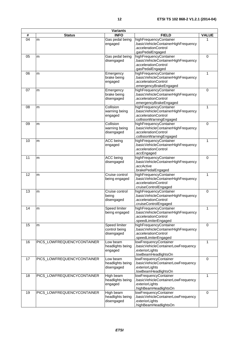| <b>Variants</b> |                            |                                              |                                                                                                                   |              |  |
|-----------------|----------------------------|----------------------------------------------|-------------------------------------------------------------------------------------------------------------------|--------------|--|
| #               | <b>Status</b>              | <b>INFO</b>                                  | <b>FIELD</b>                                                                                                      | <b>VALUE</b> |  |
| 04              | m                          | Gas pedal being<br>engaged                   | highFrequencyContainer<br>.basicVehicleContainerHighFrequency<br>.accelerationControl<br>.gasPedalEngaged         | 1            |  |
| 05              | m                          | Gas pedal being<br>disengaged                | highFrequencyContainer<br>.basicVehicleContainerHighFrequency<br>.accelerationControl<br>.gasPedalEngaged         | $\mathbf 0$  |  |
| 06              | m                          | Emergency<br>brake being<br>engaged          | highFrequencyContainer<br>basicVehicleContainerHighFrequency<br>.accelerationControl<br>.emergencyBrakeEngaged    | 1            |  |
| 07              | m                          | Emergency<br>brake being<br>disengaged       | highFrequencyContainer<br>.basicVehicleContainerHighFrequency<br>.accelerationControl<br>emergencyBrakeEngaged    | $\mathbf 0$  |  |
| 08              | m                          | Collision<br>warning being<br>engaged        | highFrequencyContainer<br>basicVehicleContainerHighFrequency<br>.accelerationControl<br>.collisionWarningEngaged  | $\mathbf{1}$ |  |
| 09              | m                          | Collision<br>warning being<br>disengaged     | highFrequencyContainer<br>.basicVehicleContainerHighFrequency<br>.accelerationControl<br>.collisionWarningEngaged | $\mathbf 0$  |  |
| 10              | m                          | ACC being<br>engaged                         | highFrequencyContainer<br>.basicVehicleContainerHighFrequency<br>.accelerationControl<br>.accEngaged              | 1            |  |
| 11              | m                          | ACC being<br>disengaged                      | highFrequencyContainer<br>.basicVehicleContainerHighFrequency<br>.accActive<br>.brakePedalEngaged                 | 0            |  |
| 12              | m                          | Cruise control<br>being engaged              | highFrequencyContainer<br>.basicVehicleContainerHighFrequency<br>.accelerationControl<br>.cruiseControlEngaged    | 1            |  |
| 13              | m                          | Cruise control<br>being<br>disengaged        | highFrequencyContainer<br>.basicVehicleContainerHighFrequency<br>.accelerationControl<br>.cruiseControlEngaged    | 0            |  |
| 14              | m                          | Speed limiter<br>being engaged               | highFrequencyContainer<br>.basicVehicleContainerHighFrequency<br>.accelerationControl<br>.speedLimiterEngaged     | 1            |  |
| 15              | m                          | Speed limiter<br>control being<br>disengaged | highFrequencyContainer<br>.basicVehicleContainerHighFrequency<br>.accelerationControl<br>.speedLimiterEngaged     | $\mathbf 0$  |  |
| 16              | PICS_LOWFREQUENCYCONTAINER | Low beam<br>headlights being<br>engaged      | lowFrequencyContainer<br>.basicVehicleContainerLowFrequency<br>.exteriorLights<br>.lowBeamHeadlightsOn            | 1            |  |
| 17              | PICS LOWFREQUENCYCONTAINER | Low beam<br>headlights being<br>disengaged   | lowFrequencyContainer<br>.basicVehicleContainerLowFrequency<br>.exteriorLights<br>.lowBeamHeadlightsOn            | 0            |  |
| 18              | PICS_LOWFREQUENCYCONTAINER | High beam<br>headlights being<br>engaged     | lowFrequencyContainer<br>.basicVehicleContainerLowFrequency<br>exteriorLights<br>highBeamHeadlightsOn             | 1            |  |
| 19              | PICS_LOWFREQUENCYCONTAINER | High beam<br>headlights being<br>disengaged  | lowFrequencyContainer<br>.basicVehicleContainerLowFrequency<br>.exteriorLights<br>highBeamHeadlightsOn            | 0            |  |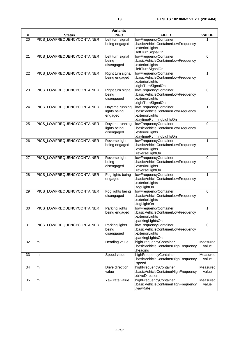| <b>Variants</b> |                            |                                               |                                                                                                         |                   |
|-----------------|----------------------------|-----------------------------------------------|---------------------------------------------------------------------------------------------------------|-------------------|
| #               | <b>Status</b>              | <b>INFO</b>                                   | <b>FIELD</b>                                                                                            | <b>VALUE</b>      |
| 20              | PICS_LOWFREQUENCYCONTAINER | Left turn signal<br>being engaged             | lowFrequencyContainer<br>basicVehicleContainerLowFrequency<br>.exteriorLights<br>.leftTurnSignalOn      | 1                 |
| 21              | PICS_LOWFREQUENCYCONTAINER | Left turn signal<br>being<br>disengaged       | lowFrequencyContainer<br>basicVehicleContainerLowFrequency<br>.exteriorLights<br>.leftTurnSignalOn      | $\mathbf 0$       |
| 22              | PICS_LOWFREQUENCYCONTAINER | Right turn signal<br>being engaged            | lowFrequencyContainer<br>basicVehicleContainerLowFrequency<br>exteriorLights<br>.rightTurnSignalOn      | $\mathbf{1}$      |
| 23              | PICS_LOWFREQUENCYCONTAINER | Right turn signal<br>being<br>disengaged      | lowFrequencyContainer<br>basicVehicleContainerLowFrequency<br>exteriorLights<br>.rightTurnSignalOn      | $\mathbf 0$       |
| 24              | PICS_LOWFREQUENCYCONTAINER | Daytime running<br>lights being<br>engaged    | lowFrequencyContainer<br>basicVehicleContainerLowFrequency<br>exteriorLights<br>.daytimeRunningLightsOn | $\mathbf{1}$      |
| 25              | PICS_LOWFREQUENCYCONTAINER | Daytime running<br>lights being<br>disengaged | lowFrequencyContainer<br>basicVehicleContainerLowFrequency<br>exteriorLights<br>daytimeRunningLightsOn. | $\mathbf 0$       |
| 26              | PICS_LOWFREQUENCYCONTAINER | Reverse light<br>being engaged                | lowFrequencyContainer<br>basicVehicleContainerLowFrequency<br>.exteriorLights<br>.reverseLightOn        | 1                 |
| 27              | PICS_LOWFREQUENCYCONTAINER | Reverse light<br>being<br>disengaged          | lowFrequencyContainer<br>basicVehicleContainerLowFrequency<br>exteriorLights.<br>.reverseLightOn        | $\mathbf 0$       |
| 28              | PICS_LOWFREQUENCYCONTAINER | Fog lights being<br>engaged                   | lowFrequencyContainer<br>basicVehicleContainerLowFrequency<br>.exteriorLights<br>.fogLightOn            | 1                 |
| 29              | PICS_LOWFREQUENCYCONTAINER | Fog lights being<br>disengaged                | lowFrequencyContainer<br>.basicVehicleContainerLowFrequency<br>.exteriorLights<br>.fogLightOn           | $\mathbf 0$       |
| 30              | PICS LOWFREQUENCYCONTAINER | Parking lights<br>being engaged               | lowFrequencyContainer<br>.basicVehicleContainerLowFrequency<br>.exteriorLights<br>.parkingLightsOn      | 1                 |
| 31              | PICS_LOWFREQUENCYCONTAINER | Parking lights<br>being<br>disengaged         | lowFrequencyContainer<br>basicVehicleContainerLowFrequency<br>.exteriorLights<br>parkingLightsOn.       | $\mathbf 0$       |
| 32              | m                          | Heading value                                 | highFrequencyContainer<br>basicVehicleContainerHighFrequency<br>heading.                                | Measured<br>value |
| 33              | m                          | Speed value                                   | highFrequencyContainer<br>.basicVehicleContainerHighFrequency<br>.speed                                 | Measured<br>value |
| 34              | m                          | Drive direction<br>value                      | highFrequencyContainer<br>.basicVehicleContainerHighFrequency<br>.driveDirection                        | Measured<br>value |
| 35              | m                          | Yaw rate value                                | highFrequencyContainer<br>basicVehicleContainerHighFrequency<br>.yawRate                                | Measured<br>value |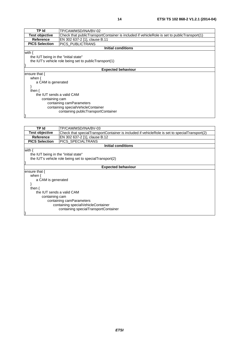| TP Id                                | TP/CAM/MSD/INA/BV-02                                                                        |  |
|--------------------------------------|---------------------------------------------------------------------------------------------|--|
| <b>Test objective</b>                | Check that publicTransportContainer is included if vehicleRole is set to publicTransport(1) |  |
| <b>Reference</b>                     | EN 302 637-2 [1], clause B.11                                                               |  |
| <b>PICS Selection</b>                | PICS_PUBLICTRANS                                                                            |  |
|                                      | <b>Initial conditions</b>                                                                   |  |
| with $\{$                            |                                                                                             |  |
| the IUT being in the "initial state" |                                                                                             |  |
|                                      | the IUT's vehicle role being set to publicTransport(1)                                      |  |
|                                      |                                                                                             |  |
|                                      | <b>Expected behaviour</b>                                                                   |  |
| ensure that {                        |                                                                                             |  |
| when $\{$                            |                                                                                             |  |
| a CAM is generated                   |                                                                                             |  |
|                                      |                                                                                             |  |
| then $\{$                            |                                                                                             |  |
| the IUT sends a valid CAM            |                                                                                             |  |
| containing cam                       |                                                                                             |  |
| containing camParameters             |                                                                                             |  |
|                                      | containing specialVehicleContainer                                                          |  |
|                                      | containing publicTransportContainer                                                         |  |
|                                      |                                                                                             |  |

| TP Id                                | TP/CAM/MSD/INA/BV-03                                                                          |  |
|--------------------------------------|-----------------------------------------------------------------------------------------------|--|
| <b>Test objective</b>                | Check that specialTransportContainer is included if vehicleRole is set to specialTransport(2) |  |
| Reference                            | EN 302 637-2 [1], clause B.12                                                                 |  |
| <b>PICS Selection</b>                | <b>PICS SPECIALTRANS</b>                                                                      |  |
|                                      | <b>Initial conditions</b>                                                                     |  |
| with $\{$                            |                                                                                               |  |
| the IUT being in the "initial state" |                                                                                               |  |
|                                      | the IUT's vehicle role being set to special Transport(2)                                      |  |
|                                      |                                                                                               |  |
| <b>Expected behaviour</b>            |                                                                                               |  |
| ensure that {                        |                                                                                               |  |
| when $\{$                            |                                                                                               |  |
| a CAM is generated                   |                                                                                               |  |
|                                      |                                                                                               |  |
| then $\{$                            |                                                                                               |  |
| the IUT sends a valid CAM            |                                                                                               |  |
| containing cam                       |                                                                                               |  |
| containing camParameters             |                                                                                               |  |
| containing specialVehicleContainer   |                                                                                               |  |
| containing specialTransportContainer |                                                                                               |  |
|                                      |                                                                                               |  |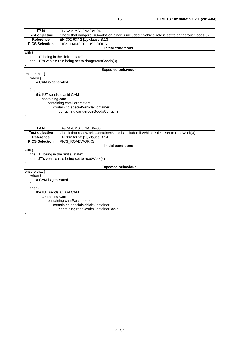| TP Id                                                  | TP/CAM/MSD/INA/BV-04                                                                      |  |  |
|--------------------------------------------------------|-------------------------------------------------------------------------------------------|--|--|
| <b>Test objective</b>                                  | Check that dangerousGoodsContainer is included if vehicleRole is set to dangerousGoods(3) |  |  |
| Reference                                              | EN 302 637-2 [1], clause B.13                                                             |  |  |
| <b>PICS Selection</b>                                  | PICS_DANGEROUSGOODS                                                                       |  |  |
|                                                        | Initial conditions                                                                        |  |  |
| with ·                                                 |                                                                                           |  |  |
|                                                        | the IUT being in the "initial state"                                                      |  |  |
| the IUT's vehicle role being set to dangerous Goods(3) |                                                                                           |  |  |
|                                                        |                                                                                           |  |  |
| <b>Expected behaviour</b>                              |                                                                                           |  |  |
| ensure that {                                          |                                                                                           |  |  |
| when $\{$                                              |                                                                                           |  |  |
| a CAM is generated                                     |                                                                                           |  |  |
|                                                        |                                                                                           |  |  |

| then $\{$                          |
|------------------------------------|
| the IUT sends a valid CAM          |
| containing cam                     |
| containing camParameters           |
| containing specialVehicleContainer |
| containing dangerousGoodsContainer |
|                                    |

}

| TP Id                                | TP/CAM/MSD/INA/BV-05                                                                |  |
|--------------------------------------|-------------------------------------------------------------------------------------|--|
| <b>Test objective</b>                | Check that roadWorksContainerBasic is included if vehicleRole is set to roadWork(4) |  |
| Reference                            | EN 302 637-2 [1], clause B.14                                                       |  |
| <b>PICS Selection</b>                | <b>PICS ROADWORKS</b>                                                               |  |
|                                      | <b>Initial conditions</b>                                                           |  |
| with $\{$                            |                                                                                     |  |
| the IUT being in the "initial state" |                                                                                     |  |
|                                      | the IUT's vehicle role being set to road Work(4)                                    |  |
|                                      |                                                                                     |  |
| <b>Expected behaviour</b>            |                                                                                     |  |
| ensure that $\{$                     |                                                                                     |  |
| when $\{$                            |                                                                                     |  |
| a CAM is generated                   |                                                                                     |  |
|                                      |                                                                                     |  |
| then $\{$                            |                                                                                     |  |
| the IUT sends a valid CAM            |                                                                                     |  |
| containing cam                       |                                                                                     |  |
| containing camParameters             |                                                                                     |  |
| containing specialVehicleContainer   |                                                                                     |  |
| containing roadWorksContainerBasic   |                                                                                     |  |
|                                      |                                                                                     |  |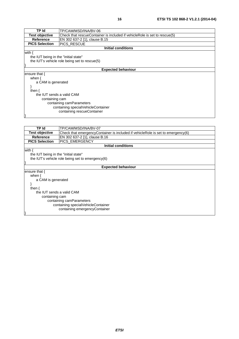| TP Id                                | TP/CAM/MSD/INA/BV-06                                                      |  |
|--------------------------------------|---------------------------------------------------------------------------|--|
| <b>Test objective</b>                | Check that rescueContainer is included if vehicleRole is set to rescue(5) |  |
| <b>Reference</b>                     | EN 302 637-2 [1], clause B.15                                             |  |
| <b>PICS Selection</b>                | <b>PICS RESCUE</b>                                                        |  |
|                                      | <b>Initial conditions</b>                                                 |  |
| with $\{$                            |                                                                           |  |
| the IUT being in the "initial state" |                                                                           |  |
|                                      | the IUT's vehicle role being set to rescue(5)                             |  |
|                                      |                                                                           |  |
|                                      | <b>Expected behaviour</b>                                                 |  |
| ensure that $\{$                     |                                                                           |  |
| when $\{$                            |                                                                           |  |
| a CAM is generated                   |                                                                           |  |
|                                      |                                                                           |  |
| then $\{$                            |                                                                           |  |
| the IUT sends a valid CAM            |                                                                           |  |
| containing cam                       |                                                                           |  |
| containing camParameters             |                                                                           |  |
| containing specialVehicleContainer   |                                                                           |  |
| containing rescueContainer           |                                                                           |  |
|                                      |                                                                           |  |
|                                      |                                                                           |  |

| TP Id                                | TP/CAM/MSD/INA/BV-07                                                            |  |
|--------------------------------------|---------------------------------------------------------------------------------|--|
| <b>Test objective</b>                | Check that emergencyContainer is included if vehicleRole is set to emergency(6) |  |
| Reference                            | EN 302 637-2 [1], clause B.16                                                   |  |
| <b>PICS Selection</b>                | <b>PICS EMERGENCY</b>                                                           |  |
|                                      | <b>Initial conditions</b>                                                       |  |
| with $\{$                            |                                                                                 |  |
| the IUT being in the "initial state" |                                                                                 |  |
|                                      | the IUT's vehicle role being set to emergency(6)                                |  |
|                                      |                                                                                 |  |
| <b>Expected behaviour</b>            |                                                                                 |  |
| ensure that {                        |                                                                                 |  |
| when $\{$                            |                                                                                 |  |
| a CAM is generated                   |                                                                                 |  |
|                                      |                                                                                 |  |
| then $\{$                            |                                                                                 |  |
| the IUT sends a valid CAM            |                                                                                 |  |
| containing cam                       |                                                                                 |  |
| containing camParameters             |                                                                                 |  |
| containing specialVehicleContainer   |                                                                                 |  |
| containing emergencyContainer        |                                                                                 |  |
|                                      |                                                                                 |  |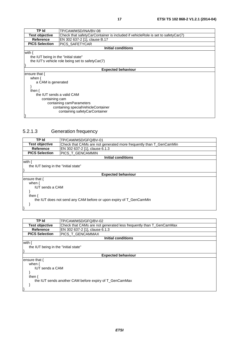| TP Id                                | TP/CAM/MSD/INA/BV-08                                                            |  |
|--------------------------------------|---------------------------------------------------------------------------------|--|
| <b>Test objective</b>                | Check that safetyCarContainer is included if vehicleRole is set to safetyCar(7) |  |
| <b>Reference</b>                     | EN 302 637-2 [1], clause B.17                                                   |  |
| <b>PICS Selection</b>                | PICS_SAFETYCAR                                                                  |  |
|                                      | Initial conditions                                                              |  |
| with $\{$                            |                                                                                 |  |
| the IUT being in the "initial state" |                                                                                 |  |
|                                      | the IUT's vehicle role being set to safetyCar(7)                                |  |
|                                      |                                                                                 |  |
|                                      | <b>Expected behaviour</b>                                                       |  |
| ensure that $\{$                     |                                                                                 |  |
| when $\{$                            |                                                                                 |  |
| a CAM is generated                   |                                                                                 |  |
|                                      |                                                                                 |  |
| then $\{$                            |                                                                                 |  |
| the IUT sends a valid CAM            |                                                                                 |  |
| containing cam                       |                                                                                 |  |
| containing camParameters             |                                                                                 |  |
| containing specialVehicleContainer   |                                                                                 |  |
| containing safetyCarContainer        |                                                                                 |  |
|                                      |                                                                                 |  |

### 5.2.1.3 Generation frequency

| TP Id                                                              | TP/CAM/MSD/GFQ/BV-01                                               |  |  |
|--------------------------------------------------------------------|--------------------------------------------------------------------|--|--|
| <b>Test objective</b>                                              | Check that CAMs are not generated more frequently than T_GenCamMin |  |  |
| Reference                                                          | EN 302 637-2 [1], clause 6.1.3                                     |  |  |
| <b>PICS Selection</b>                                              | PICS_T_GENCAMMIN                                                   |  |  |
|                                                                    | Initial conditions                                                 |  |  |
| with {                                                             |                                                                    |  |  |
| the IUT being in the "initial state"                               |                                                                    |  |  |
|                                                                    |                                                                    |  |  |
|                                                                    | <b>Expected behaviour</b>                                          |  |  |
| ensure that {                                                      |                                                                    |  |  |
| when $\{$                                                          |                                                                    |  |  |
| <b>IUT</b> sends a CAM                                             |                                                                    |  |  |
|                                                                    |                                                                    |  |  |
| then $\{$                                                          |                                                                    |  |  |
| the IUT does not send any CAM before or upon expiry of T_GenCamMin |                                                                    |  |  |
|                                                                    |                                                                    |  |  |
|                                                                    |                                                                    |  |  |

| TP Id                                                  | TP/CAM/MSD/GFQ/BV-02                                               |  |
|--------------------------------------------------------|--------------------------------------------------------------------|--|
| <b>Test objective</b>                                  | Check that CAMs are not generated less frequently than T_GenCamMax |  |
| <b>Reference</b>                                       | EN 302 637-2 [1], clause 6.1.3                                     |  |
| <b>PICS Selection</b>                                  | PICS_T_GENCAMMAX                                                   |  |
|                                                        | Initial conditions                                                 |  |
| with {                                                 |                                                                    |  |
|                                                        | the IUT being in the "initial state"                               |  |
|                                                        |                                                                    |  |
| <b>Expected behaviour</b>                              |                                                                    |  |
| ensure that {                                          |                                                                    |  |
| when $\{$                                              |                                                                    |  |
|                                                        | <b>IUT</b> sends a CAM                                             |  |
|                                                        |                                                                    |  |
| then $\{$                                              |                                                                    |  |
| the IUT sends another CAM before expiry of T GenCamMax |                                                                    |  |
|                                                        |                                                                    |  |
|                                                        |                                                                    |  |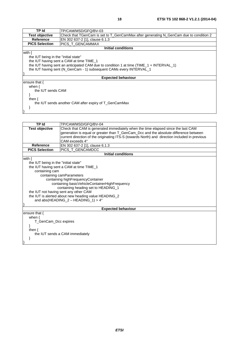| TP Id                                | TP/CAM/MSD/GFQ/BV-03                                                                      |  |  |
|--------------------------------------|-------------------------------------------------------------------------------------------|--|--|
| <b>Test objective</b>                | Check that TGenCam is set to T_GenCamMax after generating N_GenCam due to condition 2     |  |  |
| <b>Reference</b>                     | EN 302 637-2 [1], clause 6.1.3                                                            |  |  |
| <b>PICS Selection</b>                | <b>PICS T GENCAMMAX</b>                                                                   |  |  |
|                                      | Initial conditions                                                                        |  |  |
| with {                               |                                                                                           |  |  |
| the IUT being in the "initial state" |                                                                                           |  |  |
|                                      | the IUT having sent a CAM at time TIME_1                                                  |  |  |
|                                      | the IUT having sent an anticipated CAM due to condition 1 at time $(TIME_1 + INTERVAL_1)$ |  |  |
|                                      | the IUT having sent (N GenCam - 1) subsequent CAMs every INTERVAL 1                       |  |  |
|                                      |                                                                                           |  |  |
|                                      | <b>Expected behaviour</b>                                                                 |  |  |
| ensure that {                        |                                                                                           |  |  |
| when $\{$                            |                                                                                           |  |  |
| the IUT sends CAM                    |                                                                                           |  |  |
|                                      |                                                                                           |  |  |
| then $\{$                            |                                                                                           |  |  |
|                                      | the IUT sends another CAM after expiry of T_GenCamMax                                     |  |  |
|                                      |                                                                                           |  |  |
|                                      |                                                                                           |  |  |

}

**TP Id TP/CAM/MSD/GFQ/BV-04 Test objective** Check that CAM is generated immediately when the time elapsed since the last CAM generation is equal or greater than T\_GenCam\_Dcc and the absolute difference between current direction of the originating ITS-S (towards North) and direction included in previous CAM exceeds 4° **Reference** EN 302 637-2 [1], clause 6.1.3<br>**PICS Selection** PICS T GENCAMDCC PICS\_T\_GENCAMDCC **Initial conditions** with { the IUT being in the "initial state" the IUT having sent a CAM at time TIME\_1 containing cam containing camParameters containing highFrequencyContainer containing basicVehicleContainerHighFrequency containing heading set to HEADING\_1 the IUT not having sent any other CAM the IUT is alerted about new heading value HEADING\_2 and abs(HEADING\_2 – HEADING\_1) >  $4^{\circ}$ } **Expected behaviour** ensure that { when { T\_GenCam\_Dcc expires } then { the IUT sends a CAM immediately } }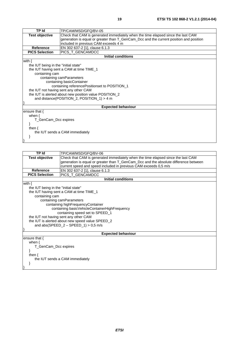| <b>TP Id</b>                             | TP/CAM/MSD/GFQ/BV-05                                                                   |  |  |  |  |
|------------------------------------------|----------------------------------------------------------------------------------------|--|--|--|--|
| <b>Test objective</b>                    | Check that CAM is generated immediately when the time elapsed since the last CAM       |  |  |  |  |
|                                          | generation is equal or greater than T_GenCam_Dcc and the current position and position |  |  |  |  |
|                                          | included in previous CAM exceeds 4 m                                                   |  |  |  |  |
| <b>Reference</b>                         | EN 302 637-2 [1], clause 6.1.3                                                         |  |  |  |  |
| <b>PICS Selection</b>                    | PICS_T_GENCAMDCC                                                                       |  |  |  |  |
|                                          | <b>Initial conditions</b>                                                              |  |  |  |  |
| with $\{$                                |                                                                                        |  |  |  |  |
| the IUT being in the "initial state"     |                                                                                        |  |  |  |  |
| the IUT having sent a CAM at time TIME_1 |                                                                                        |  |  |  |  |
| containing cam                           |                                                                                        |  |  |  |  |
|                                          | containing camParameters                                                               |  |  |  |  |
|                                          | containing basicContainer                                                              |  |  |  |  |
|                                          | containing reference Positionset to POSITION_1                                         |  |  |  |  |
|                                          | the IUT not having sent any other CAM                                                  |  |  |  |  |
|                                          | the IUT is alerted about new position value POSITION_2                                 |  |  |  |  |
|                                          | and distance(POSITION_2, POSITION_1) > 4 m                                             |  |  |  |  |
|                                          |                                                                                        |  |  |  |  |
| <b>Expected behaviour</b>                |                                                                                        |  |  |  |  |
| ensure that $\{$                         |                                                                                        |  |  |  |  |
| when $\{$                                |                                                                                        |  |  |  |  |
|                                          | T_GenCam_Dcc expires                                                                   |  |  |  |  |
|                                          |                                                                                        |  |  |  |  |
| then $\{$                                |                                                                                        |  |  |  |  |
|                                          | the IUT sends a CAM immediately                                                        |  |  |  |  |
|                                          |                                                                                        |  |  |  |  |
|                                          |                                                                                        |  |  |  |  |

| <b>TP Id</b>                             | TP/CAM/MSD/GFQ/BV-06                                                                 |  |  |  |  |
|------------------------------------------|--------------------------------------------------------------------------------------|--|--|--|--|
| <b>Test objective</b>                    | Check that CAM is generated immediately when the time elapsed since the last CAM     |  |  |  |  |
|                                          | generation is equal or greater than T_GenCam_Dcc and the absolute difference between |  |  |  |  |
|                                          | current speed and speed included in previous CAM exceeds 0,5 m/s                     |  |  |  |  |
| Reference                                | EN 302 637-2 [1], clause 6.1.3                                                       |  |  |  |  |
| <b>PICS Selection</b>                    | PICS_T_GENCAMDCC                                                                     |  |  |  |  |
|                                          | <b>Initial conditions</b>                                                            |  |  |  |  |
| with $\{$                                |                                                                                      |  |  |  |  |
| the IUT being in the "initial state"     |                                                                                      |  |  |  |  |
| the IUT having sent a CAM at time TIME_1 |                                                                                      |  |  |  |  |
| containing cam                           |                                                                                      |  |  |  |  |
|                                          | containing camParameters                                                             |  |  |  |  |
| containing highFrequencyContainer        |                                                                                      |  |  |  |  |
|                                          | containing basicVehicleContainerHighFrequency                                        |  |  |  |  |
|                                          | containing speed set to SPEED_1                                                      |  |  |  |  |
|                                          | the IUT not having sent any other CAM                                                |  |  |  |  |
|                                          | the IUT is alerted about new speed value SPEED_2                                     |  |  |  |  |
|                                          | and abs(SPEED_2 - SPEED_1) > 0,5 m/s                                                 |  |  |  |  |
|                                          |                                                                                      |  |  |  |  |
| <b>Expected behaviour</b>                |                                                                                      |  |  |  |  |
| ensure that $\{$                         |                                                                                      |  |  |  |  |
| when $\{$                                |                                                                                      |  |  |  |  |
| T_GenCam_Dcc expires                     |                                                                                      |  |  |  |  |
|                                          |                                                                                      |  |  |  |  |
| then $\{$                                |                                                                                      |  |  |  |  |
| the IUT sends a CAM immediately          |                                                                                      |  |  |  |  |
|                                          |                                                                                      |  |  |  |  |
|                                          |                                                                                      |  |  |  |  |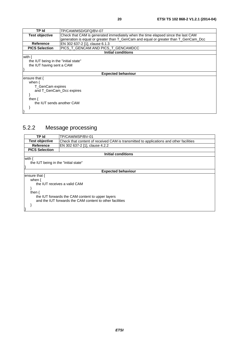| <b>TP Id</b>                         | TP/CAM/MSD/GFQ/BV-07                                                                |  |  |  |  |
|--------------------------------------|-------------------------------------------------------------------------------------|--|--|--|--|
| <b>Test objective</b>                | Check that CAM is generated immediately when the time elapsed since the last CAM    |  |  |  |  |
|                                      | generation is equal or greater than T_GenCam and equal or greater than T_GenCam_Dcc |  |  |  |  |
| <b>Reference</b>                     | EN 302 637-2 [1], clause 6.1.3                                                      |  |  |  |  |
| <b>PICS Selection</b>                | PICS_T_GENCAM AND PICS_T_GENCAMDCC                                                  |  |  |  |  |
| <b>Initial conditions</b>            |                                                                                     |  |  |  |  |
| with {                               |                                                                                     |  |  |  |  |
| the IUT being in the "initial state" |                                                                                     |  |  |  |  |
| the IUT having sent a CAM            |                                                                                     |  |  |  |  |
|                                      |                                                                                     |  |  |  |  |
| <b>Expected behaviour</b>            |                                                                                     |  |  |  |  |
| ensure that $\{$                     |                                                                                     |  |  |  |  |
| when $\{$                            |                                                                                     |  |  |  |  |
| T GenCam expires                     |                                                                                     |  |  |  |  |
| and T GenCam Dcc expires             |                                                                                     |  |  |  |  |
|                                      |                                                                                     |  |  |  |  |
| then $\{$                            |                                                                                     |  |  |  |  |
| the IUT sends another CAM            |                                                                                     |  |  |  |  |
|                                      |                                                                                     |  |  |  |  |
|                                      |                                                                                     |  |  |  |  |

### 5.2.2 Message processing

| TP Id                                                    | TP/CAM/MSP/BV-01                                                                       |  |  |  |
|----------------------------------------------------------|----------------------------------------------------------------------------------------|--|--|--|
| <b>Test objective</b>                                    | Check that content of received CAM is transmitted to applications and other facilities |  |  |  |
| Reference                                                | EN 302 637-2 [1], clause 4.2.2                                                         |  |  |  |
| <b>PICS Selection</b>                                    |                                                                                        |  |  |  |
| Initial conditions                                       |                                                                                        |  |  |  |
| with {                                                   |                                                                                        |  |  |  |
| the IUT being in the "initial state"                     |                                                                                        |  |  |  |
|                                                          |                                                                                        |  |  |  |
| <b>Expected behaviour</b>                                |                                                                                        |  |  |  |
| ensure that {                                            |                                                                                        |  |  |  |
| when $\{$                                                |                                                                                        |  |  |  |
| the IUT receives a valid CAM                             |                                                                                        |  |  |  |
|                                                          |                                                                                        |  |  |  |
| then $\{$                                                |                                                                                        |  |  |  |
| the IUT forwards the CAM content to upper layers         |                                                                                        |  |  |  |
| and the IUT forwards the CAM content to other facilities |                                                                                        |  |  |  |
|                                                          |                                                                                        |  |  |  |
|                                                          |                                                                                        |  |  |  |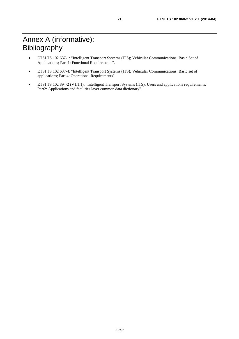- ETSI TS 102 637-1: "Intelligent Transport Systems (ITS); Vehicular Communications; Basic Set of Applications; Part 1: Functional Requirements".
- ETSI TS 102 637-4: "Intelligent Transport Systems (ITS); Vehicular Communications; Basic set of applications; Part 4: Operational Requirements".
- ETSI TS 102 894-2 (V1.1.1): "Intelligent Transport Systems (ITS); Users and applications requirements; Part2: Applications and facilities layer common data dictionary".